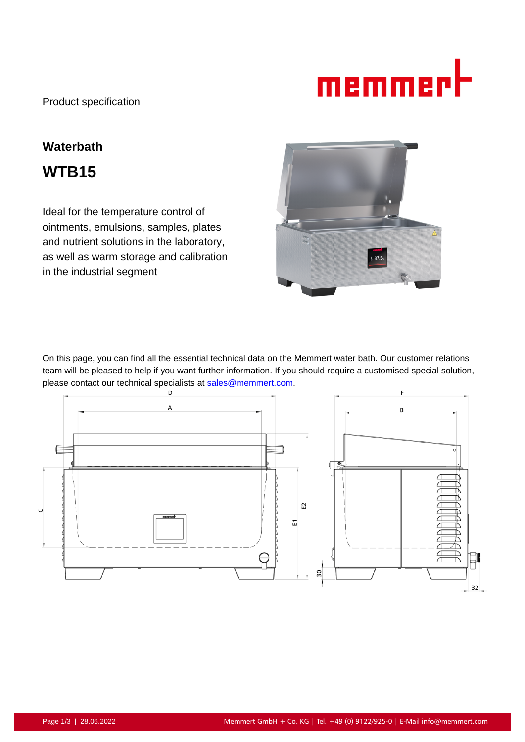

# **Waterbath WTB15**

Ideal for the temperature control of ointments, emulsions, samples, plates and nutrient solutions in the laboratory, as well as warm storage and calibration in the industrial segment



On this page, you can find all the essential technical data on the Memmert water bath. Our customer relations team will be pleased to help if you want further information. If you should require a customised special solution, please contact our technical specialists at sales@memmert.com.

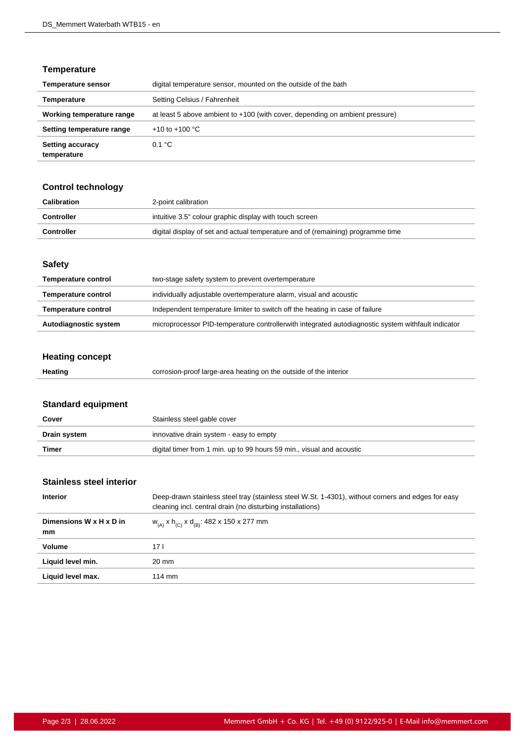## **Temperature**

| <b>Temperature sensor</b>              | digital temperature sensor, mounted on the outside of the bath               |
|----------------------------------------|------------------------------------------------------------------------------|
| Temperature                            | Setting Celsius / Fahrenheit                                                 |
| Working temperature range              | at least 5 above ambient to +100 (with cover, depending on ambient pressure) |
| Setting temperature range              | +10 to +100 $^{\circ}$ C                                                     |
| <b>Setting accuracy</b><br>temperature | 0.1 °C                                                                       |

## **Control technology**

| Calibration       | 2-point calibration                                                             |
|-------------------|---------------------------------------------------------------------------------|
| Controller        | intuitive 3.5" colour graphic display with touch screen                         |
| <b>Controller</b> | digital display of set and actual temperature and of (remaining) programme time |

#### **Safety**

| <b>Temperature control</b> | two-stage safety system to prevent overtemperature                                                 |
|----------------------------|----------------------------------------------------------------------------------------------------|
| <b>Temperature control</b> | individually adjustable overtemperature alarm, visual and acoustic                                 |
| <b>Temperature control</b> | Independent temperature limiter to switch off the heating in case of failure                       |
| Autodiagnostic system      | microprocessor PID-temperature controllerwith integrated autodiagnostic system withfault indicator |

# **Heating concept**

| Heating | corrosion-proof large-area heating on the outside of the interior |
|---------|-------------------------------------------------------------------|
|---------|-------------------------------------------------------------------|

# **Standard equipment**

| Cover        | Stainless steel gable cover                                           |
|--------------|-----------------------------------------------------------------------|
| Drain system | innovative drain system - easy to empty                               |
| Timer        | digital timer from 1 min. up to 99 hours 59 min., visual and acoustic |

## **Stainless steel interior**

| <b>Interior</b>               | Deep-drawn stainless steel tray (stainless steel W.St. 1-4301), without corners and edges for easy<br>cleaning incl. central drain (no disturbing installations) |
|-------------------------------|------------------------------------------------------------------------------------------------------------------------------------------------------------------|
| Dimensions W x H x D in<br>mm | $w_{(A)}$ x h <sub>(C)</sub> x d <sub>(B)</sub> : 482 x 150 x 277 mm                                                                                             |
| Volume                        | 17 I                                                                                                                                                             |
| Liquid level min.             | 20 mm                                                                                                                                                            |
| Liquid level max.             | $114 \text{ mm}$                                                                                                                                                 |
|                               |                                                                                                                                                                  |